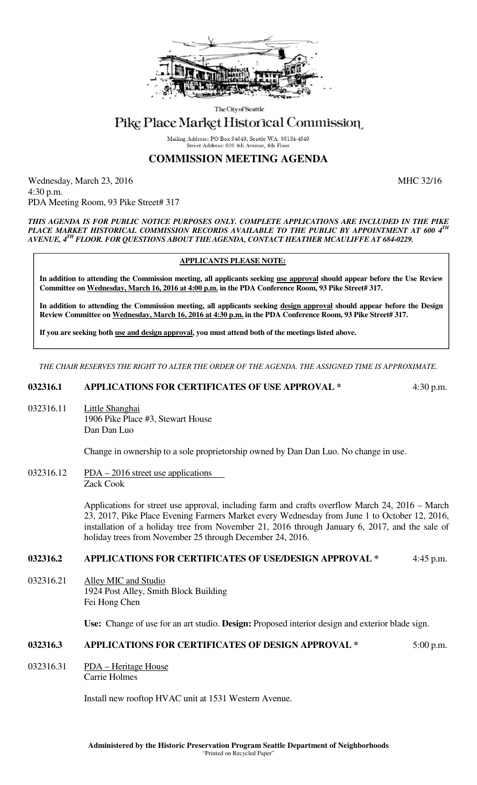

The City of Seattle

# Pike Place Market Historical Commission

Mailing Address: PO Box 94649, Seattle WA 98124-4649 Street Address: 600 4th Avenue, 4th Floor

## **COMMISSION MEETING AGENDA**

Wednesday, March 23, 2016 MHC 32/16 4:30 p.m. PDA Meeting Room, 93 Pike Street# 317

#### *THIS AGENDA IS FOR PUBLIC NOTICE PURPOSES ONLY. COMPLETE APPLICATIONS ARE INCLUDED IN THE PIKE PLACE MARKET HISTORICAL COMMISSION RECORDS AVAILABLE TO THE PUBLIC BY APPOINTMENT AT 600 4TH AVENUE, 4TH FLOOR. FOR QUESTIONS ABOUT THE AGENDA, CONTACT HEATHER MCAULIFFE AT 684-0229.*

#### **APPLICANTS PLEASE NOTE:**

**In addition to attending the Commission meeting, all applicants seeking use approval should appear before the Use Review Committee on Wednesday, March 16, 2016 at 4:00 p.m. in the PDA Conference Room, 93 Pike Street# 317.** 

**In addition to attending the Commission meeting, all applicants seeking design approval should appear before the Design Review Committee on Wednesday, March 16, 2016 at 4:30 p.m. in the PDA Conference Room, 93 Pike Street# 317.** 

**If you are seeking both use and design approval, you must attend both of the meetings listed above.** 

*THE CHAIR RESERVES THE RIGHT TO ALTER THE ORDER OF THE AGENDA. THE ASSIGNED TIME IS APPROXIMATE.* 

#### **032316.1 APPLICATIONS FOR CERTIFICATES OF USE APPROVAL \*** 4:30 p.m.

032316.11 Little Shanghai 1906 Pike Place #3, Stewart House Dan Dan Luo

Change in ownership to a sole proprietorship owned by Dan Dan Luo. No change in use.

 $032316.12$  PDA – 2016 street use applications Zack Cook

> Applications for street use approval, including farm and crafts overflow March 24, 2016 – March 23, 2017, Pike Place Evening Farmers Market every Wednesday from June 1 to October 12, 2016, installation of a holiday tree from November 21, 2016 through January 6, 2017, and the sale of holiday trees from November 25 through December 24, 2016.

## **032316.2 APPLICATIONS FOR CERTIFICATES OF USE/DESIGN APPROVAL \*** 4:45 p.m.

032316.21 Alley MIC and Studio 1924 Post Alley, Smith Block Building Fei Hong Chen

**Use:** Change of use for an art studio. **Design:** Proposed interior design and exterior blade sign.

### **032316.3 APPLICATIONS FOR CERTIFICATES OF DESIGN APPROVAL \*** 5:00 p.m.

032316.31 PDA – Heritage House Carrie Holmes

Install new rooftop HVAC unit at 1531 Western Avenue.